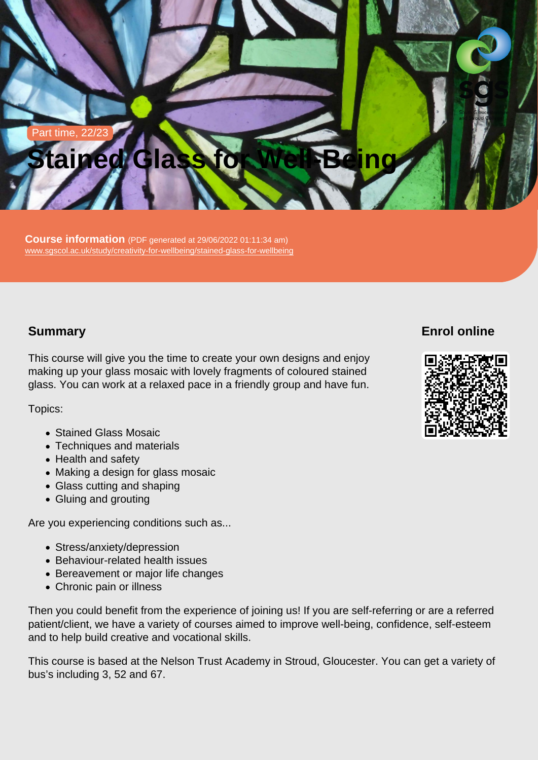# Part time, 22/23 Stained Glass for Well-Being

Course information (PDF generated at 29/06/2022 01:11:34 am) [www.sgscol.ac.uk/study/creativity-for-wellbeing/stained-glass-for-wellbeing](https://www.sgscol.ac.uk/study/creativity-for-wellbeing/stained-glass-for-wellbeing)

## **Summary**

This course will give you the time to create your own designs and enjoy making up your glass mosaic with lovely fragments of coloured stained glass. You can work at a relaxed pace in a friendly group and have fun.

Topics:

- Stained Glass Mosaic
- Techniques and materials
- Health and safety
- Making a design for glass mosaic
- Glass cutting and shaping
- Gluing and grouting

Are you experiencing conditions such as...

- Stress/anxiety/depression
- Behaviour-related health issues
- Bereavement or major life changes
- Chronic pain or illness

Then you could benefit from the experience of joining us! If you are self-referring or are a referred patient/client, we have a variety of courses aimed to improve well-being, confidence, self-esteem and to help build creative and vocational skills.

This course is based at the Nelson Trust Academy in Stroud, Gloucester. You can get a variety of bus's including 3, 52 and 67.

Enrol online